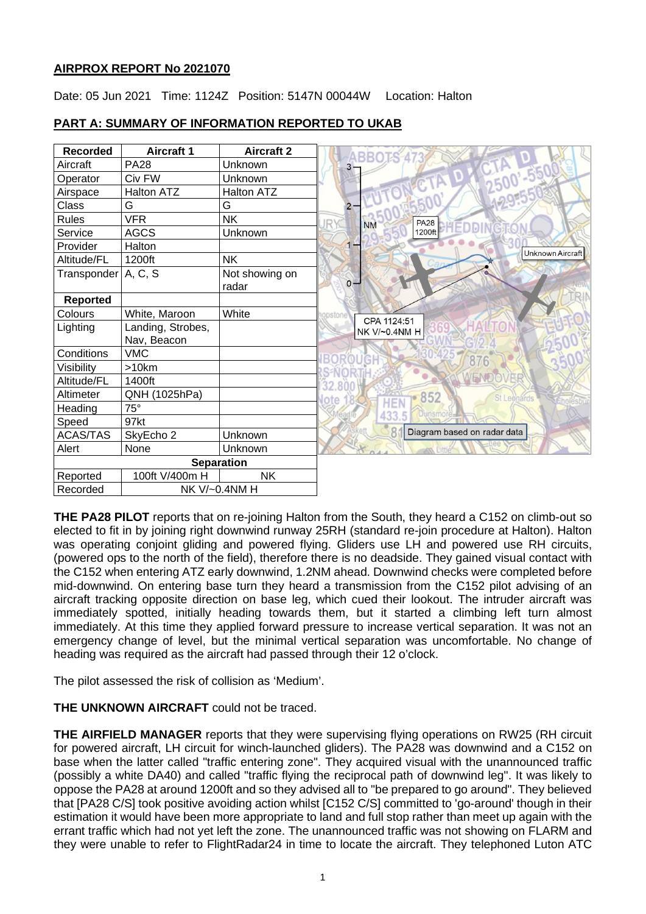# **AIRPROX REPORT No 2021070**

Date: 05 Jun 2021 Time: 1124Z Position: 5147N 00044W Location: Halton

#### **Recorded Aircraft 1 Aircraft 2**<br>**Aircraft PA28 Unknown ABBOTS**  $\overline{\Lambda}$ Aircraft PA28 Unknown  $\mathbf{R}$ Operator Civ FW Unknown Airspace Halton ATZ Halton ATZ Class G G G  $\overline{2}$ Rules VFR NK **PA28 N<sub>N</sub>** Service AGCS Unknown 1200f Provider Halton  $\overline{1}$ Unknown Aircraft Altitude/FL 1200ft NK  $Transponder | A, C, S$  Not showing on  $\alpha$ radar **Reported** Colours White, Maroon White CPA 1124:51 Lighting | Landing, Strobes,  $\overline{0}$ NK V/~0.4NM H Nav, Beacon Conditions VMC ORNI 876 Visibility | >10km **S-NORT** Altitude/FL 1400ft 2.800 Altimeter QNH (1025hPa) 852 **HEN** Heading 75° 433.5 Speed 97kt 8 Diagram based on radar data ACAS/TAS SkyEcho 2 Unknown Alert None Unknown **Separation** Reported | 100ft V/400m H | NK Recorded NK V/~0.4NM H

# **PART A: SUMMARY OF INFORMATION REPORTED TO UKAB**

**THE PA28 PILOT** reports that on re-joining Halton from the South, they heard a C152 on climb-out so elected to fit in by joining right downwind runway 25RH (standard re-join procedure at Halton). Halton was operating conjoint gliding and powered flying. Gliders use LH and powered use RH circuits, (powered ops to the north of the field), therefore there is no deadside. They gained visual contact with the C152 when entering ATZ early downwind, 1.2NM ahead. Downwind checks were completed before mid-downwind. On entering base turn they heard a transmission from the C152 pilot advising of an aircraft tracking opposite direction on base leg, which cued their lookout. The intruder aircraft was immediately spotted, initially heading towards them, but it started a climbing left turn almost immediately. At this time they applied forward pressure to increase vertical separation. It was not an emergency change of level, but the minimal vertical separation was uncomfortable. No change of heading was required as the aircraft had passed through their 12 o'clock.

The pilot assessed the risk of collision as 'Medium'.

# **THE UNKNOWN AIRCRAFT** could not be traced.

**THE AIRFIELD MANAGER** reports that they were supervising flying operations on RW25 (RH circuit for powered aircraft, LH circuit for winch-launched gliders). The PA28 was downwind and a C152 on base when the latter called "traffic entering zone". They acquired visual with the unannounced traffic (possibly a white DA40) and called "traffic flying the reciprocal path of downwind leg". It was likely to oppose the PA28 at around 1200ft and so they advised all to "be prepared to go around". They believed that [PA28 C/S] took positive avoiding action whilst [C152 C/S] committed to 'go-around' though in their estimation it would have been more appropriate to land and full stop rather than meet up again with the errant traffic which had not yet left the zone. The unannounced traffic was not showing on FLARM and they were unable to refer to FlightRadar24 in time to locate the aircraft. They telephoned Luton ATC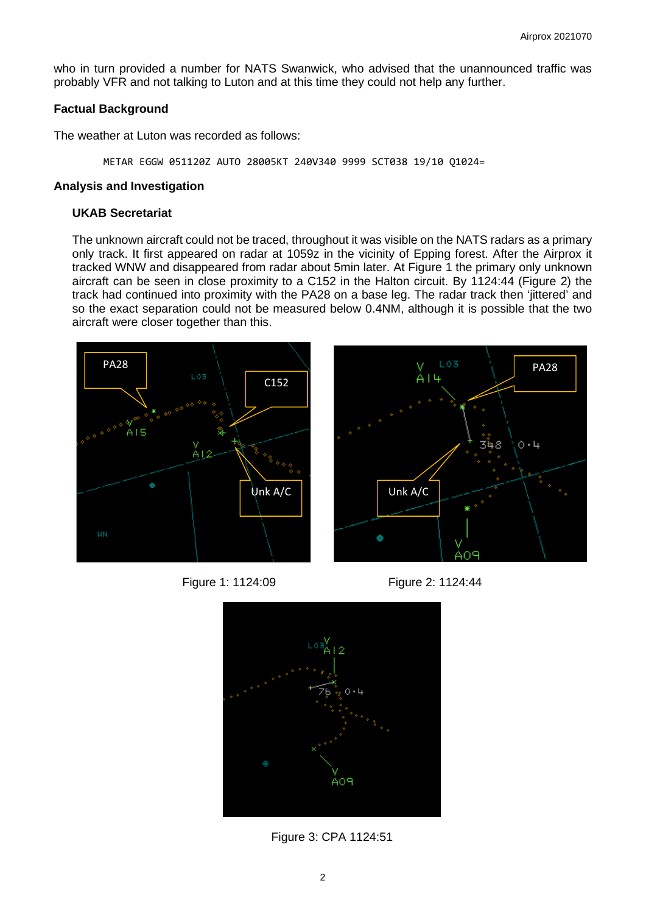who in turn provided a number for NATS Swanwick, who advised that the unannounced traffic was probably VFR and not talking to Luton and at this time they could not help any further.

### **Factual Background**

The weather at Luton was recorded as follows:

METAR EGGW 051120Z AUTO 28005KT 240V340 9999 SCT038 19/10 Q1024=

### **Analysis and Investigation**

## **UKAB Secretariat**

The unknown aircraft could not be traced, throughout it was visible on the NATS radars as a primary only track. It first appeared on radar at 1059z in the vicinity of Epping forest. After the Airprox it tracked WNW and disappeared from radar about 5min later. At Figure 1 the primary only unknown aircraft can be seen in close proximity to a C152 in the Halton circuit. By 1124:44 (Figure 2) the track had continued into proximity with the PA28 on a base leg. The radar track then 'jittered' and so the exact separation could not be measured below 0.4NM, although it is possible that the two aircraft were closer together than this.



Figure 1: 1124:09 Figure 2: 1124:44





Figure 3: CPA 1124:51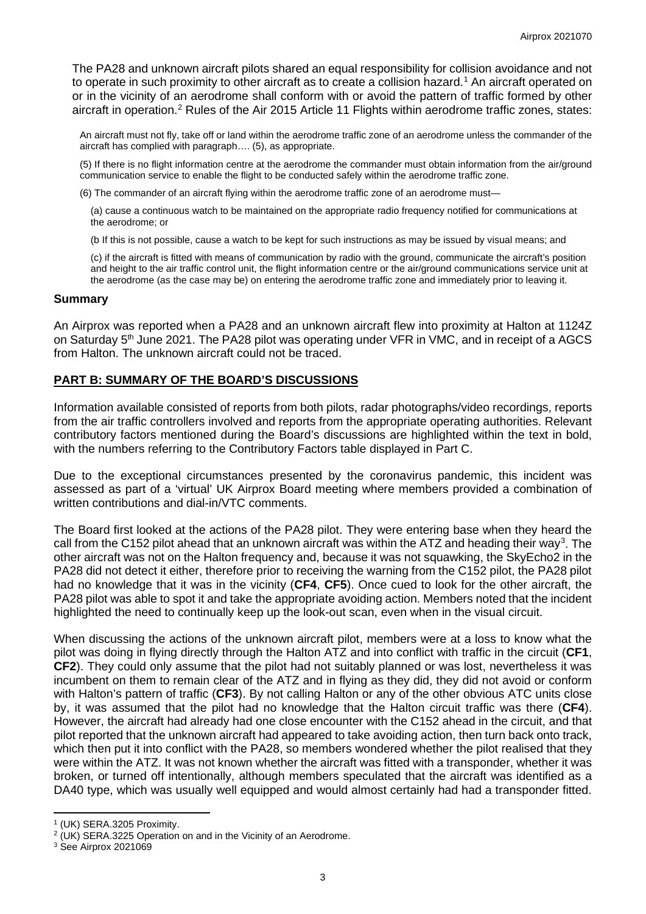The PA28 and unknown aircraft pilots shared an equal responsibility for collision avoidance and not to operate in such proximity to other aircraft as to create a collision hazard. [1](#page-2-0) An aircraft operated on or in the vicinity of an aerodrome shall conform with or avoid the pattern of traffic formed by other aircraft in operation.<sup>[2](#page-2-1)</sup> Rules of the Air 2015 Article 11 Flights within aerodrome traffic zones, states:

An aircraft must not fly, take off or land within the aerodrome traffic zone of an aerodrome unless the commander of the aircraft has complied with paragraph…. (5), as appropriate.

(5) If there is no flight information centre at the aerodrome the commander must obtain information from the air/ground communication service to enable the flight to be conducted safely within the aerodrome traffic zone.

(6) The commander of an aircraft flying within the aerodrome traffic zone of an aerodrome must—

(a) cause a continuous watch to be maintained on the appropriate radio frequency notified for communications at the aerodrome; or

(b If this is not possible, cause a watch to be kept for such instructions as may be issued by visual means; and

(c) if the aircraft is fitted with means of communication by radio with the ground, communicate the aircraft's position and height to the air traffic control unit, the flight information centre or the air/ground communications service unit at the aerodrome (as the case may be) on entering the aerodrome traffic zone and immediately prior to leaving it.

### **Summary**

An Airprox was reported when a PA28 and an unknown aircraft flew into proximity at Halton at 1124Z on Saturday 5<sup>th</sup> June 2021. The PA28 pilot was operating under VFR in VMC, and in receipt of a AGCS from Halton. The unknown aircraft could not be traced.

### **PART B: SUMMARY OF THE BOARD'S DISCUSSIONS**

Information available consisted of reports from both pilots, radar photographs/video recordings, reports from the air traffic controllers involved and reports from the appropriate operating authorities. Relevant contributory factors mentioned during the Board's discussions are highlighted within the text in bold, with the numbers referring to the Contributory Factors table displayed in Part C.

Due to the exceptional circumstances presented by the coronavirus pandemic, this incident was assessed as part of a 'virtual' UK Airprox Board meeting where members provided a combination of written contributions and dial-in/VTC comments.

The Board first looked at the actions of the PA28 pilot. They were entering base when they heard the call from the C152 pilot ahead that an unknown aircraft was within the ATZ and heading their way<sup>[3](#page-2-2)</sup>. The other aircraft was not on the Halton frequency and, because it was not squawking, the SkyEcho2 in the PA28 did not detect it either, therefore prior to receiving the warning from the C152 pilot, the PA28 pilot had no knowledge that it was in the vicinity (**CF4**, **CF5**). Once cued to look for the other aircraft, the PA28 pilot was able to spot it and take the appropriate avoiding action. Members noted that the incident highlighted the need to continually keep up the look-out scan, even when in the visual circuit.

When discussing the actions of the unknown aircraft pilot, members were at a loss to know what the pilot was doing in flying directly through the Halton ATZ and into conflict with traffic in the circuit (**CF1**, **CF2**). They could only assume that the pilot had not suitably planned or was lost, nevertheless it was incumbent on them to remain clear of the ATZ and in flying as they did, they did not avoid or conform with Halton's pattern of traffic (**CF3**). By not calling Halton or any of the other obvious ATC units close by, it was assumed that the pilot had no knowledge that the Halton circuit traffic was there (**CF4**). However, the aircraft had already had one close encounter with the C152 ahead in the circuit, and that pilot reported that the unknown aircraft had appeared to take avoiding action, then turn back onto track, which then put it into conflict with the PA28, so members wondered whether the pilot realised that they were within the ATZ. It was not known whether the aircraft was fitted with a transponder, whether it was broken, or turned off intentionally, although members speculated that the aircraft was identified as a DA40 type, which was usually well equipped and would almost certainly had had a transponder fitted.

<span id="page-2-1"></span><span id="page-2-0"></span><sup>&</sup>lt;sup>1</sup> (UK) SERA.3205 Proximity.<br><sup>2</sup> (UK) SERA.3225 Operation on and in the Vicinity of an Aerodrome.

<span id="page-2-2"></span><sup>3</sup> See Airprox 2021069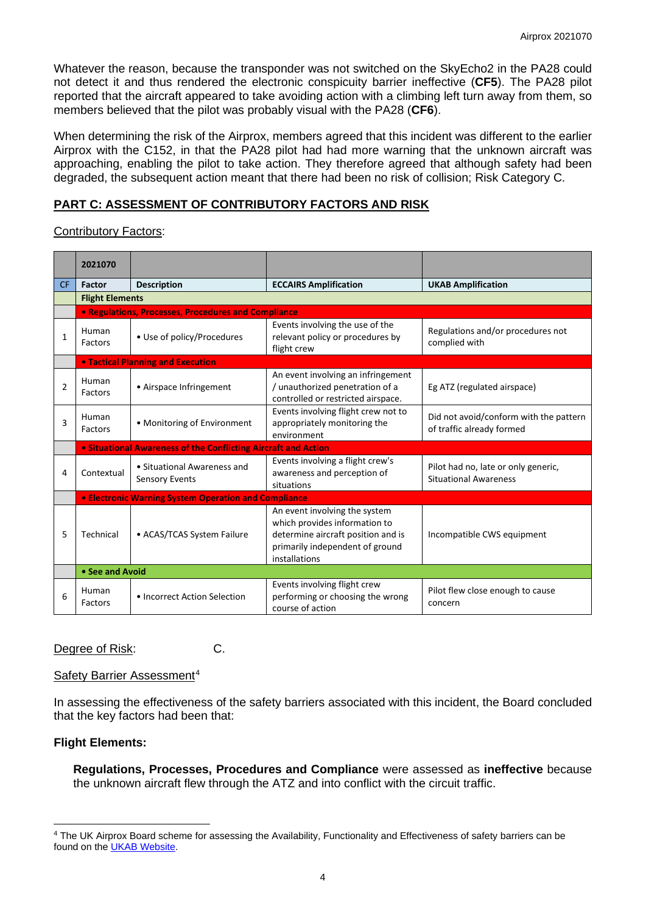Whatever the reason, because the transponder was not switched on the SkyEcho2 in the PA28 could not detect it and thus rendered the electronic conspicuity barrier ineffective (**CF5**). The PA28 pilot reported that the aircraft appeared to take avoiding action with a climbing left turn away from them, so members believed that the pilot was probably visual with the PA28 (**CF6**).

When determining the risk of the Airprox, members agreed that this incident was different to the earlier Airprox with the C152, in that the PA28 pilot had had more warning that the unknown aircraft was approaching, enabling the pilot to take action. They therefore agreed that although safety had been degraded, the subsequent action meant that there had been no risk of collision; Risk Category C.

# **PART C: ASSESSMENT OF CONTRIBUTORY FACTORS AND RISK**

# Contributory Factors:

|           | 2021070                 |                                                                |                                                                                                                                                          |                                                                     |  |  |  |  |  |  |  |  |
|-----------|-------------------------|----------------------------------------------------------------|----------------------------------------------------------------------------------------------------------------------------------------------------------|---------------------------------------------------------------------|--|--|--|--|--|--|--|--|
| <b>CF</b> | <b>Factor</b>           | <b>Description</b>                                             | <b>ECCAIRS Amplification</b>                                                                                                                             | <b>UKAB Amplification</b>                                           |  |  |  |  |  |  |  |  |
|           | <b>Flight Elements</b>  |                                                                |                                                                                                                                                          |                                                                     |  |  |  |  |  |  |  |  |
|           |                         | • Regulations, Processes, Procedures and Compliance            |                                                                                                                                                          |                                                                     |  |  |  |  |  |  |  |  |
| 1         | Human<br><b>Factors</b> | • Use of policy/Procedures                                     | Events involving the use of the<br>relevant policy or procedures by<br>flight crew                                                                       | Regulations and/or procedures not<br>complied with                  |  |  |  |  |  |  |  |  |
|           |                         | <b>. Tactical Planning and Execution</b>                       |                                                                                                                                                          |                                                                     |  |  |  |  |  |  |  |  |
| 2         | Human<br>Factors        | • Airspace Infringement                                        | An event involving an infringement<br>/ unauthorized penetration of a<br>controlled or restricted airspace.                                              | Eg ATZ (regulated airspace)                                         |  |  |  |  |  |  |  |  |
| 3         | Human<br>Factors        | • Monitoring of Environment                                    | Events involving flight crew not to<br>appropriately monitoring the<br>environment                                                                       | Did not avoid/conform with the pattern<br>of traffic already formed |  |  |  |  |  |  |  |  |
|           |                         | • Situational Awareness of the Conflicting Aircraft and Action |                                                                                                                                                          |                                                                     |  |  |  |  |  |  |  |  |
| 4         | Contextual              | • Situational Awareness and<br><b>Sensory Events</b>           | Events involving a flight crew's<br>awareness and perception of<br>situations                                                                            | Pilot had no, late or only generic,<br><b>Situational Awareness</b> |  |  |  |  |  |  |  |  |
|           |                         | <b>• Electronic Warning System Operation and Compliance</b>    |                                                                                                                                                          |                                                                     |  |  |  |  |  |  |  |  |
| 5         | Technical               | • ACAS/TCAS System Failure                                     | An event involving the system<br>which provides information to<br>determine aircraft position and is<br>primarily independent of ground<br>installations | Incompatible CWS equipment                                          |  |  |  |  |  |  |  |  |
|           | • See and Avoid         |                                                                |                                                                                                                                                          |                                                                     |  |  |  |  |  |  |  |  |
| 6         | Human<br>Factors        | • Incorrect Action Selection                                   | Events involving flight crew<br>performing or choosing the wrong<br>course of action                                                                     | Pilot flew close enough to cause<br>concern                         |  |  |  |  |  |  |  |  |

### Degree of Risk: C.

### Safety Barrier Assessment<sup>[4](#page-3-0)</sup>

In assessing the effectiveness of the safety barriers associated with this incident, the Board concluded that the key factors had been that:

# **Flight Elements:**

**Regulations, Processes, Procedures and Compliance** were assessed as **ineffective** because the unknown aircraft flew through the ATZ and into conflict with the circuit traffic.

<span id="page-3-0"></span><sup>4</sup> The UK Airprox Board scheme for assessing the Availability, Functionality and Effectiveness of safety barriers can be found on the [UKAB Website.](http://www.airproxboard.org.uk/Learn-more/Airprox-Barrier-Assessment/)